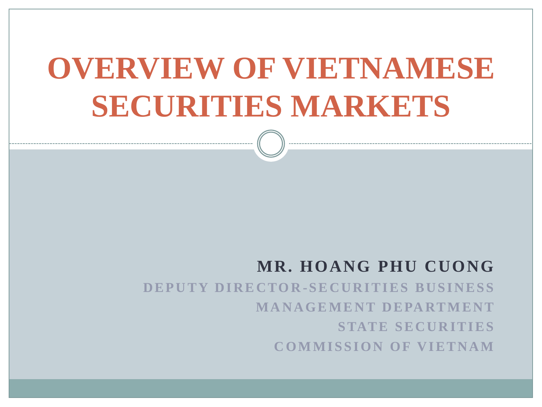# **OVERVIEW OF VIETNAMESE SECURITIES MARKETS**

#### **MR. HOANG PHU CUONG**

**D E P U T Y D I R E C TO R - S E C U R I T I E S B U S I N E S S M A N A G E M E N T D E PA RT M E N T STATE SECURITIES COMMISSION OF VIETNAM**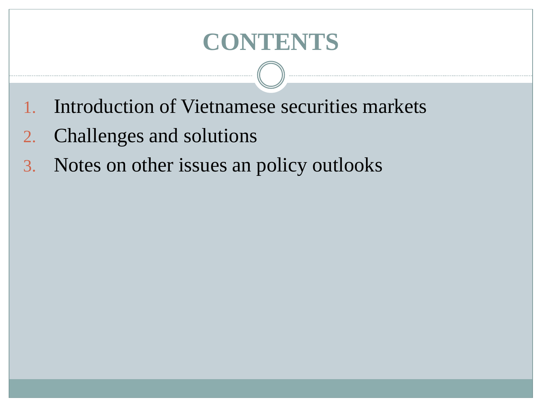## **CONTENTS**

- 1. Introduction of Vietnamese securities markets
- 2. Challenges and solutions
- 3. Notes on other issues an policy outlooks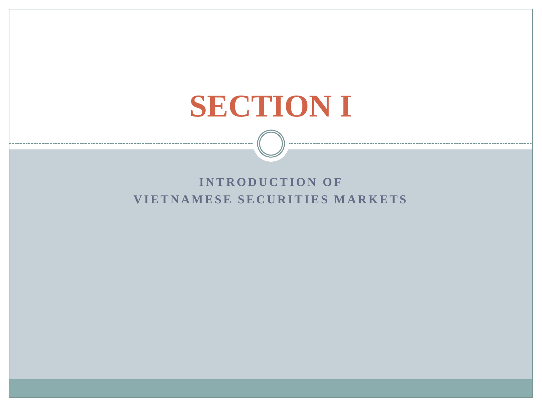# **SECTION I**

#### **INTRODUCTION OF VIETNAMESE SECURITIES MARKETS**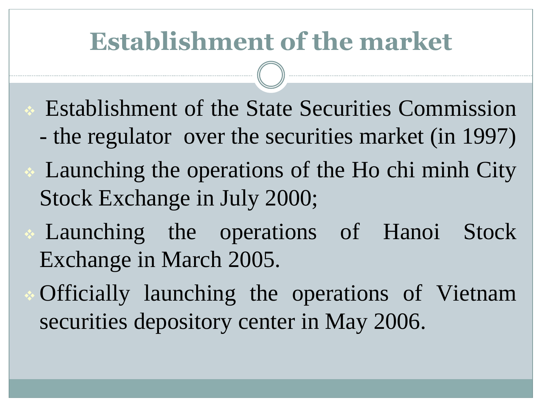# **Establishment of the market**

- Establishment of the State Securities Commission
	- the regulator over the securities market (in 1997)
- Launching the operations of the Ho chi minh City Stock Exchange in July 2000;
- Launching the operations of Hanoi Stock Exchange in March 2005.
	- Officially launching the operations of Vietnam securities depository center in May 2006.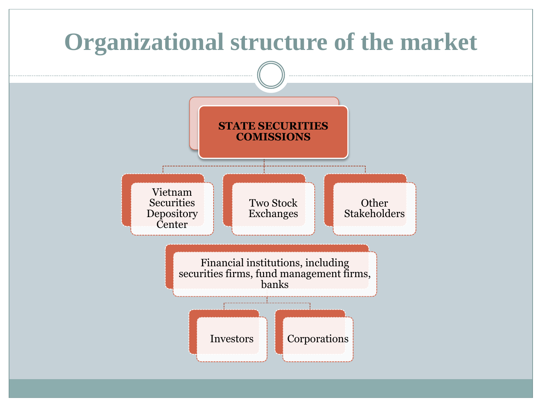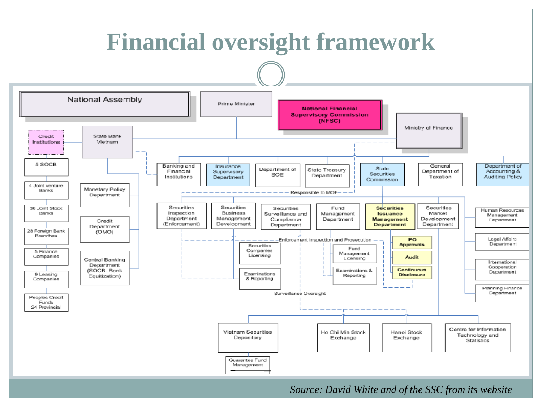

*Source: David White and of the SSC from its website*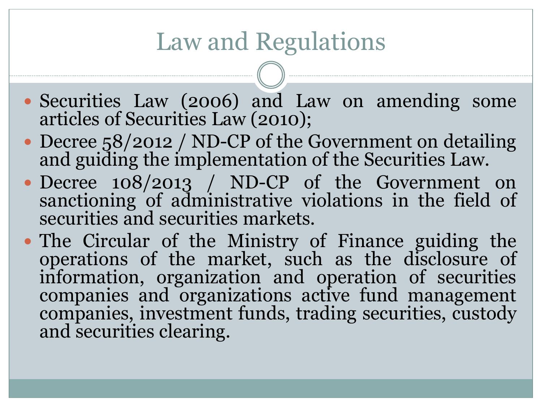# Law and Regulations

- Securities Law (2006) and Law on amending some articles of Securities Law (2010);
- Decree 58/2012 / ND-CP of the Government on detailing and guiding the implementation of the Securities Law.
- Decree 108/2013 / ND-CP of the Government on sanctioning of administrative violations in the field of securities and securities markets.
- The Circular of the Ministry of Finance guiding the operations of the market, such as the disclosure of information, organization and operation of securities companies and organizations active fund management companies, investment funds, trading securities, custody and securities clearing.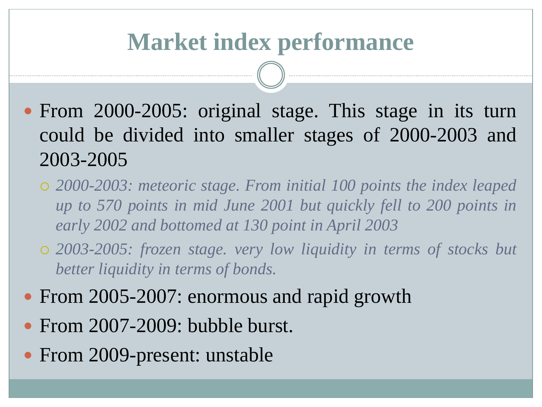### **Market index performance**

- From 2000-2005: original stage. This stage in its turn could be divided into smaller stages of 2000-2003 and 2003-2005
	- *2000-2003: meteoric stage. From initial 100 points the index leaped up to 570 points in mid June 2001 but quickly fell to 200 points in early 2002 and bottomed at 130 point in April 2003*
	- *2003-2005: frozen stage. very low liquidity in terms of stocks but better liquidity in terms of bonds.*
- From 2005-2007: enormous and rapid growth
- From 2007-2009: bubble burst.
- From 2009-present: unstable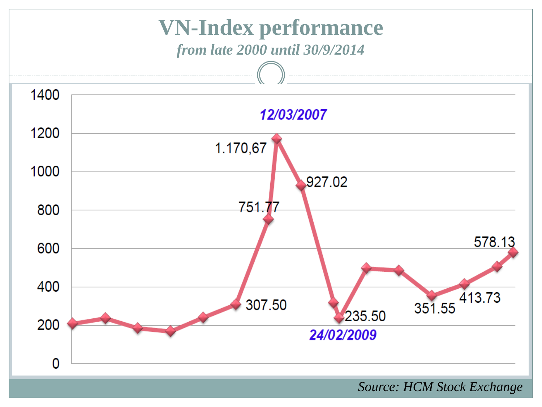

 *Source: HCM Stock Exchange*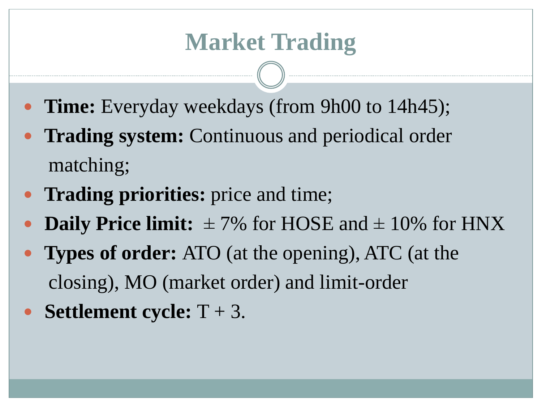- **Time:** Everyday weekdays (from 9h00 to 14h45);
- **Trading system:** Continuous and periodical order matching;
- **Trading priorities:** price and time;
- **Daily Price limit:**  $\pm$  7% for HOSE and  $\pm$  10% for HNX
- **Types of order:** ATO (at the opening), ATC (at the closing), MO (market order) and limit-order
- **Settlement cycle:** T + 3.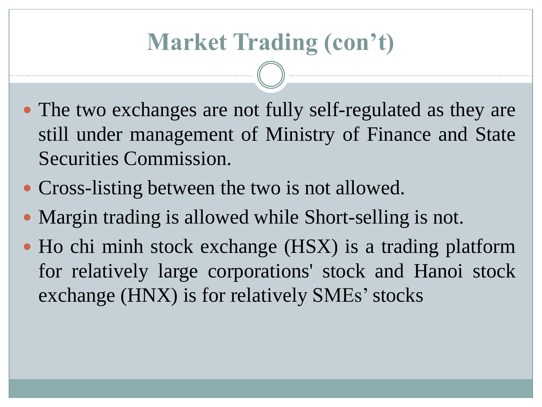- The two exchanges are not fully self-regulated as they are still under management of Ministry of Finance and State Securities Commission.
- Cross-listing between the two is not allowed.
- Margin trading is allowed while Short-selling is not.
- Ho chi minh stock exchange (HSX) is a trading platform for relatively large corporations' stock and Hanoi stock exchange (HNX) is for relatively SMEs' stocks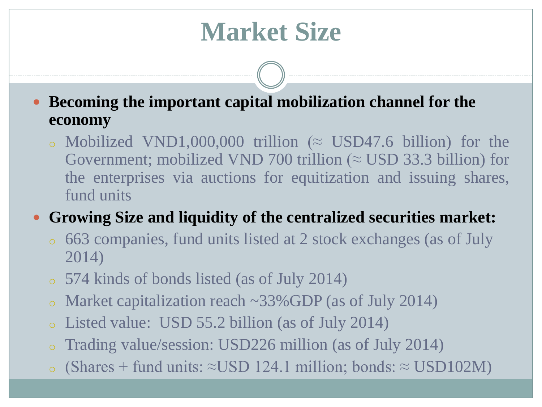# **Market Size**

 **Becoming the important capital mobilization channel for the economy**

o Mobilized VND1,000,000 trillion ( $\approx$  USD47.6 billion) for the Government; mobilized VND 700 trillion ( $\approx$  USD 33.3 billion) for the enterprises via auctions for equitization and issuing shares, fund units

**Growing Size and liquidity of the centralized securities market:**

- <sup>o</sup> 663 companies, fund units listed at 2 stock exchanges (as of July 2014)
- <sup>o</sup> 574 kinds of bonds listed (as of July 2014)
- Market capitalization reach  $\sim$ 33%GDP (as of July 2014)
- <sup>o</sup> Listed value: USD 55.2 billion (as of July 2014)
- <sup>o</sup> Trading value/session: USD226 million (as of July 2014)
- <sup>o</sup> (Shares + fund units: ≈USD 124.1 million; bonds: ≈ USD102M)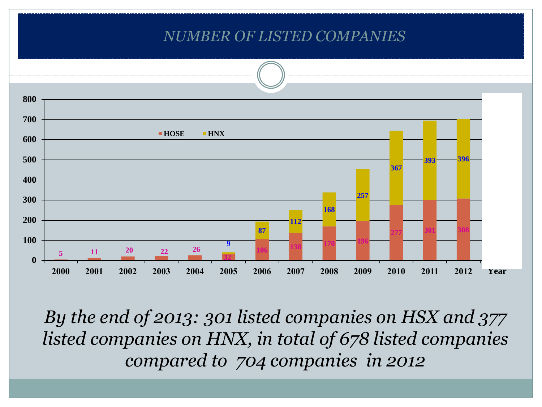#### *NUMBER OF LISTED COMPANIES*



*By the end of 2013: 301 listed companies on HSX and 377 listed companies on HNX, in total of 678 listed companies compared to 704 companies in 2012*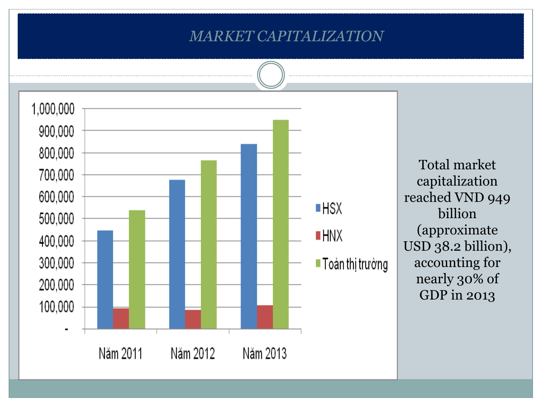#### *MARKET CAPITALIZATION*



Total market capitalization reached VND 949 billion (approximate USD 38.2 billion), accounting for nearly 30% of GDP in 2013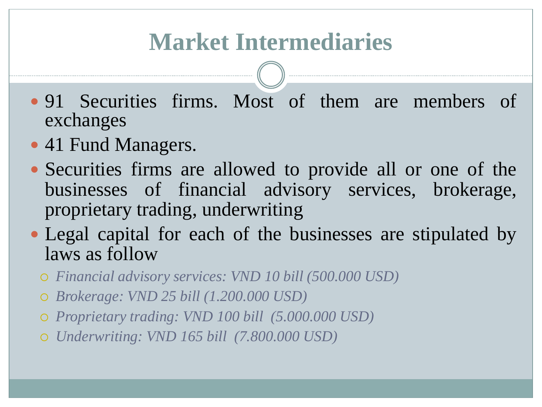# **Market Intermediaries**

- 91 Securities firms. Most of them are members of exchanges
- 41 Fund Managers.
- Securities firms are allowed to provide all or one of the businesses of financial advisory services, brokerage, proprietary trading, underwriting
- Legal capital for each of the businesses are stipulated by laws as follow
	- *Financial advisory services: VND 10 bill (500.000 USD)*
	- *Brokerage: VND 25 bill (1.200.000 USD)*
	- *Proprietary trading: VND 100 bill (5.000.000 USD)*
	- *Underwriting: VND 165 bill (7.800.000 USD)*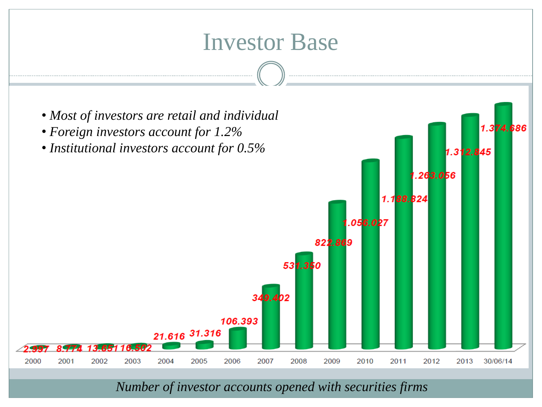

*Number of investor accounts opened with securities firms*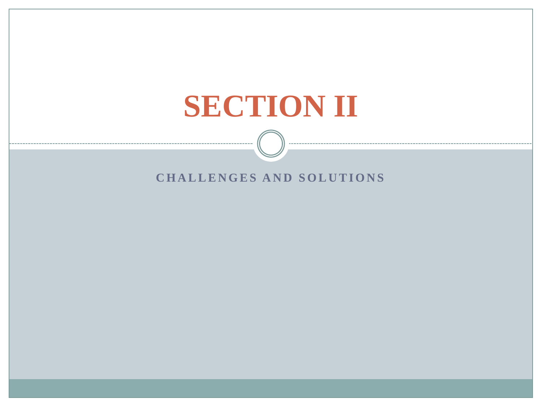# **SECTION II**

#### **CHALLENGES AND SOLUTIONS**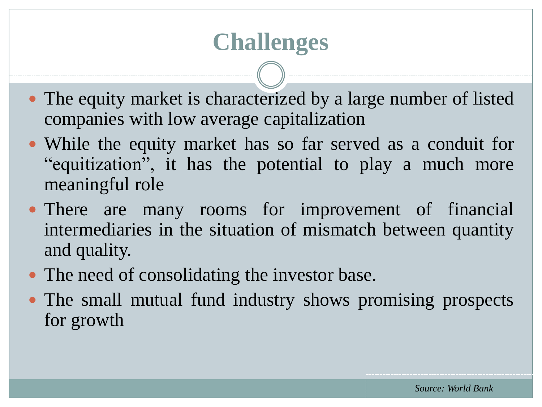## **Challenges**

- The equity market is characterized by a large number of listed companies with low average capitalization
- While the equity market has so far served as a conduit for "equitization", it has the potential to play a much more meaningful role
- There are many rooms for improvement of financial intermediaries in the situation of mismatch between quantity and quality.
- The need of consolidating the investor base.
- The small mutual fund industry shows promising prospects for growth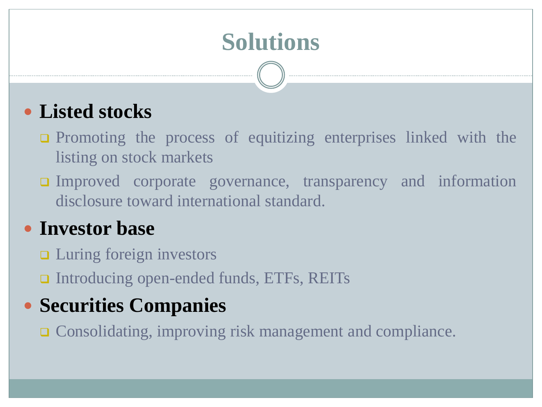# **Solutions**

#### **Listed stocks**

- **Q** Promoting the process of equitizing enterprises linked with the listing on stock markets
- Improved corporate governance, transparency and information disclosure toward international standard.

#### **Investor base**

- **□** Luring foreign investors
- Introducing open-ended funds, ETFs, REITs

#### **Securities Companies**

**□** Consolidating, improving risk management and compliance.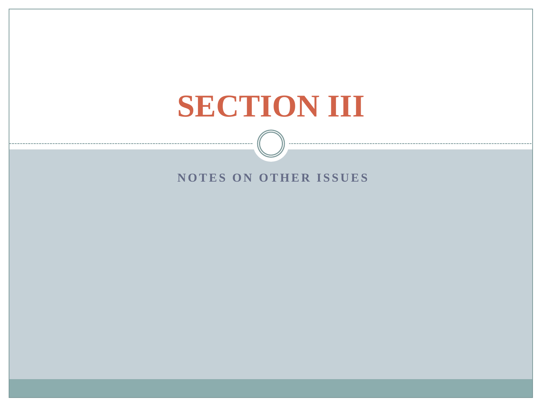# **SECTION III**

#### **NOTES ON OTHER ISSUES**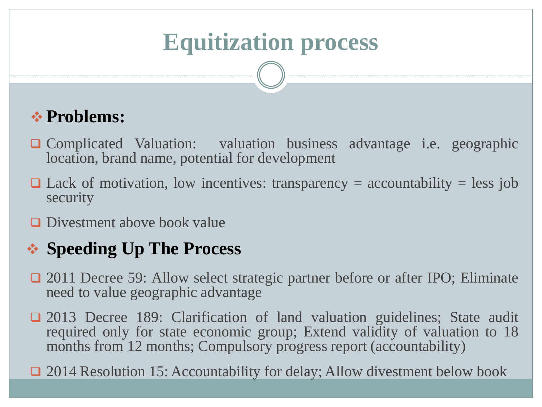# **Equitization process**

#### **Problems:**

- Complicated Valuation: valuation business advantage i.e. geographic location, brand name, potential for development
- $\Box$  Lack of motivation, low incentives: transparency = accountability = less job security
- **D** Divestment above book value

#### **Speeding Up The Process**

- □ 2011 Decree 59: Allow select strategic partner before or after IPO; Eliminate need to value geographic advantage
- □ 2013 Decree 189: Clarification of land valuation guidelines; State audit required only for state economic group; Extend validity of valuation to 18 months from 12 months; Compulsory progress report (accountability)

□ 2014 Resolution 15: Accountability for delay; Allow divestment below book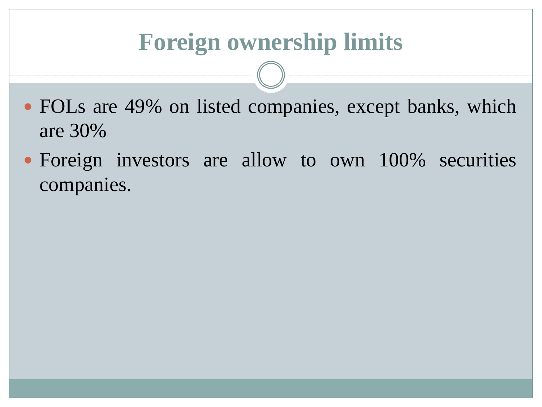## **Foreign ownership limits**

- FOLs are 49% on listed companies, except banks, which are 30%
- Foreign investors are allow to own 100% securities companies.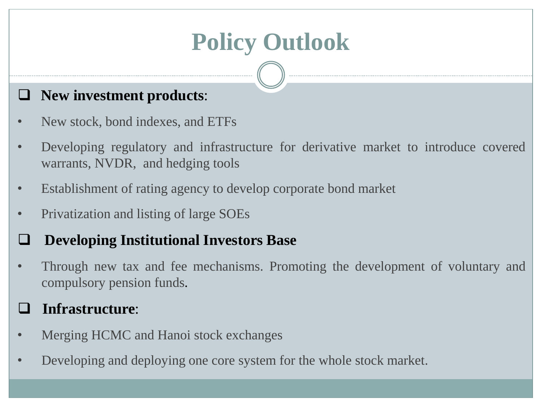# **Policy Outlook**

#### **New investment products**:

- New stock, bond indexes, and ETFs
- Developing regulatory and infrastructure for derivative market to introduce covered warrants, NVDR, and hedging tools
- Establishment of rating agency to develop corporate bond market
- Privatization and listing of large SOEs

#### **Developing Institutional Investors Base**

• Through new tax and fee mechanisms. Promoting the development of voluntary and compulsory pension funds.

#### **Infrastructure**:

- Merging HCMC and Hanoi stock exchanges
- Developing and deploying one core system for the whole stock market.